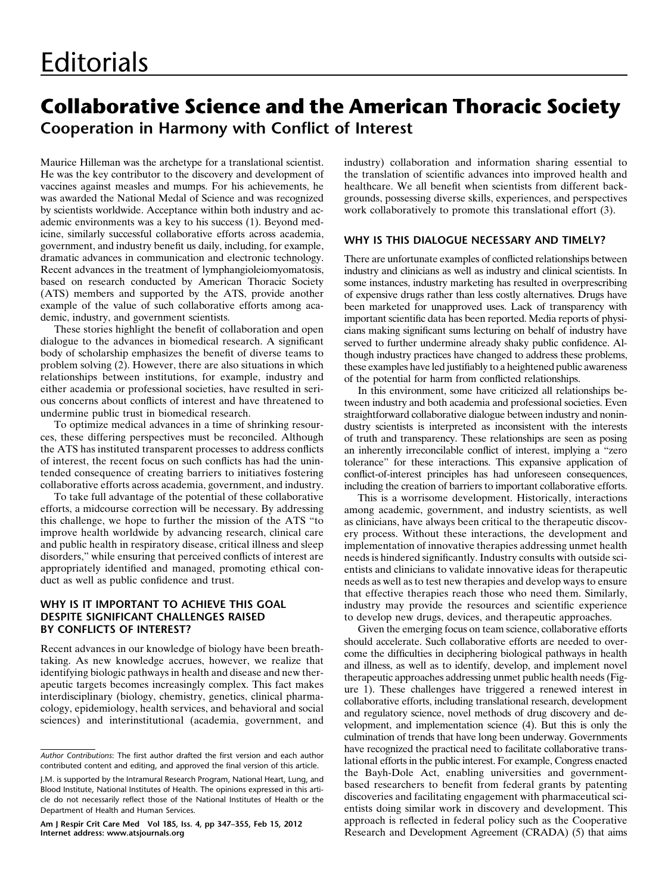# Collaborative Science and the American Thoracic Society Cooperation in Harmony with Conflict of Interest

Maurice Hilleman was the archetype for a translational scientist. He was the key contributor to the discovery and development of vaccines against measles and mumps. For his achievements, he was awarded the National Medal of Science and was recognized by scientists worldwide. Acceptance within both industry and academic environments was a key to his success (1). Beyond medicine, similarly successful collaborative efforts across academia, government, and industry benefit us daily, including, for example, dramatic advances in communication and electronic technology. Recent advances in the treatment of lymphangioleiomyomatosis, based on research conducted by American Thoracic Society (ATS) members and supported by the ATS, provide another example of the value of such collaborative efforts among academic, industry, and government scientists.

These stories highlight the benefit of collaboration and open dialogue to the advances in biomedical research. A significant body of scholarship emphasizes the benefit of diverse teams to problem solving (2). However, there are also situations in which relationships between institutions, for example, industry and either academia or professional societies, have resulted in serious concerns about conflicts of interest and have threatened to undermine public trust in biomedical research.

To optimize medical advances in a time of shrinking resources, these differing perspectives must be reconciled. Although the ATS has instituted transparent processes to address conflicts of interest, the recent focus on such conflicts has had the unintended consequence of creating barriers to initiatives fostering collaborative efforts across academia, government, and industry.

To take full advantage of the potential of these collaborative efforts, a midcourse correction will be necessary. By addressing this challenge, we hope to further the mission of the ATS "to improve health worldwide by advancing research, clinical care and public health in respiratory disease, critical illness and sleep disorders," while ensuring that perceived conflicts of interest are appropriately identified and managed, promoting ethical conduct as well as public confidence and trust.

#### WHY IS IT IMPORTANT TO ACHIEVE THIS GOAL DESPITE SIGNIFICANT CHALLENGES RAISED BY CONFLICTS OF INTEREST?

Recent advances in our knowledge of biology have been breathtaking. As new knowledge accrues, however, we realize that identifying biologic pathways in health and disease and new therapeutic targets becomes increasingly complex. This fact makes interdisciplinary (biology, chemistry, genetics, clinical pharmacology, epidemiology, health services, and behavioral and social sciences) and interinstitutional (academia, government, and

industry) collaboration and information sharing essential to the translation of scientific advances into improved health and healthcare. We all benefit when scientists from different backgrounds, possessing diverse skills, experiences, and perspectives work collaboratively to promote this translational effort (3).

### WHY IS THIS DIALOGUE NECESSARY AND TIMELY?

There are unfortunate examples of conflicted relationships between industry and clinicians as well as industry and clinical scientists. In some instances, industry marketing has resulted in overprescribing of expensive drugs rather than less costly alternatives. Drugs have been marketed for unapproved uses. Lack of transparency with important scientific data has been reported. Media reports of physicians making significant sums lecturing on behalf of industry have served to further undermine already shaky public confidence. Although industry practices have changed to address these problems, these examples have led justifiably to a heightened public awareness of the potential for harm from conflicted relationships.

In this environment, some have criticized all relationships between industry and both academia and professional societies. Even straightforward collaborative dialogue between industry and nonindustry scientists is interpreted as inconsistent with the interests of truth and transparency. These relationships are seen as posing an inherently irreconcilable conflict of interest, implying a "zero tolerance" for these interactions. This expansive application of conflict-of-interest principles has had unforeseen consequences, including the creation of barriers to important collaborative efforts.

This is a worrisome development. Historically, interactions among academic, government, and industry scientists, as well as clinicians, have always been critical to the therapeutic discovery process. Without these interactions, the development and implementation of innovative therapies addressing unmet health needs is hindered significantly. Industry consults with outside scientists and clinicians to validate innovative ideas for therapeutic needs as well as to test new therapies and develop ways to ensure that effective therapies reach those who need them. Similarly, industry may provide the resources and scientific experience to develop new drugs, devices, and therapeutic approaches.

Given the emerging focus on team science, collaborative efforts should accelerate. Such collaborative efforts are needed to overcome the difficulties in deciphering biological pathways in health and illness, as well as to identify, develop, and implement novel therapeutic approaches addressing unmet public health needs (Figure 1). These challenges have triggered a renewed interest in collaborative efforts, including translational research, development and regulatory science, novel methods of drug discovery and development, and implementation science (4). But this is only the culmination of trends that have long been underway. Governments have recognized the practical need to facilitate collaborative translational efforts in the public interest. For example, Congress enacted the Bayh-Dole Act, enabling universities and governmentbased researchers to benefit from federal grants by patenting discoveries and facilitating engagement with pharmaceutical scientists doing similar work in discovery and development. This approach is reflected in federal policy such as the Cooperative Research and Development Agreement (CRADA) (5) that aims

Author Contributions: The first author drafted the first version and each author contributed content and editing, and approved the final version of this article.

J.M. is supported by the Intramural Research Program, National Heart, Lung, and Blood Institute, National Institutes of Health. The opinions expressed in this article do not necessarily reflect those of the National Institutes of Health or the Department of Health and Human Services.

Am J Respir Crit Care Med Vol 185, Iss. 4, pp 347–355, Feb 15, 2012 Internet address: www.atsjournals.org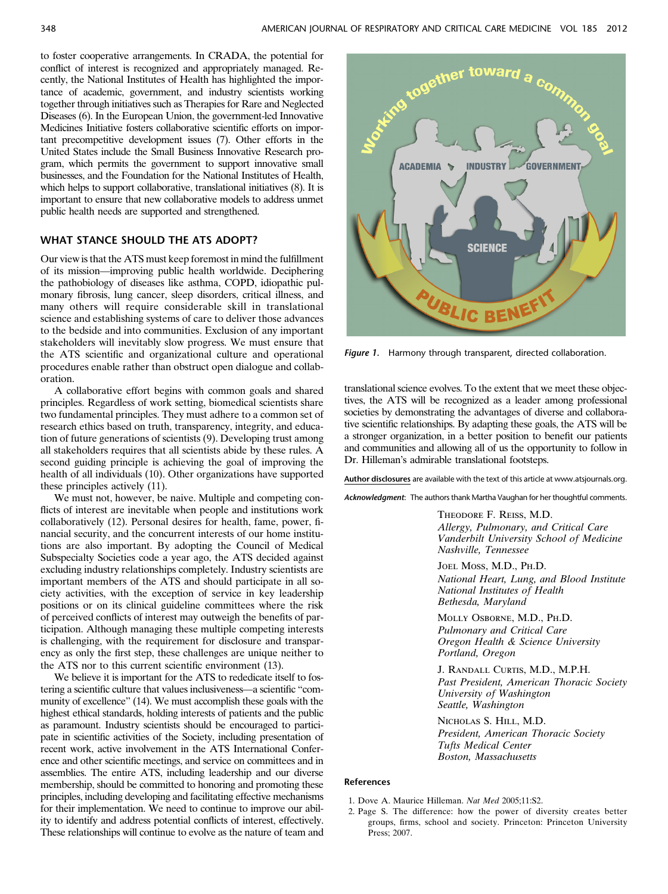to foster cooperative arrangements. In CRADA, the potential for conflict of interest is recognized and appropriately managed. Recently, the National Institutes of Health has highlighted the importance of academic, government, and industry scientists working together through initiatives such as Therapies for Rare and Neglected Diseases (6). In the European Union, the government-led Innovative Medicines Initiative fosters collaborative scientific efforts on important precompetitive development issues (7). Other efforts in the United States include the Small Business Innovative Research program, which permits the government to support innovative small businesses, and the Foundation for the National Institutes of Health, which helps to support collaborative, translational initiatives (8). It is important to ensure that new collaborative models to address unmet public health needs are supported and strengthened.

#### WHAT STANCE SHOULD THE ATS ADOPT?

Our view is that the ATS must keep foremost in mind the fulfillment of its mission—improving public health worldwide. Deciphering the pathobiology of diseases like asthma, COPD, idiopathic pulmonary fibrosis, lung cancer, sleep disorders, critical illness, and many others will require considerable skill in translational science and establishing systems of care to deliver those advances to the bedside and into communities. Exclusion of any important stakeholders will inevitably slow progress. We must ensure that the ATS scientific and organizational culture and operational procedures enable rather than obstruct open dialogue and collaboration.

A collaborative effort begins with common goals and shared principles. Regardless of work setting, biomedical scientists share two fundamental principles. They must adhere to a common set of research ethics based on truth, transparency, integrity, and education of future generations of scientists (9). Developing trust among all stakeholders requires that all scientists abide by these rules. A second guiding principle is achieving the goal of improving the health of all individuals (10). Other organizations have supported these principles actively (11).

We must not, however, be naive. Multiple and competing conflicts of interest are inevitable when people and institutions work collaboratively (12). Personal desires for health, fame, power, financial security, and the concurrent interests of our home institutions are also important. By adopting the Council of Medical Subspecialty Societies code a year ago, the ATS decided against excluding industry relationships completely. Industry scientists are important members of the ATS and should participate in all society activities, with the exception of service in key leadership positions or on its clinical guideline committees where the risk of perceived conflicts of interest may outweigh the benefits of participation. Although managing these multiple competing interests is challenging, with the requirement for disclosure and transparency as only the first step, these challenges are unique neither to the ATS nor to this current scientific environment (13).

We believe it is important for the ATS to rededicate itself to fostering a scientific culture that values inclusiveness—a scientific "community of excellence" (14). We must accomplish these goals with the highest ethical standards, holding interests of patients and the public as paramount. Industry scientists should be encouraged to participate in scientific activities of the Society, including presentation of recent work, active involvement in the ATS International Conference and other scientific meetings, and service on committees and in assemblies. The entire ATS, including leadership and our diverse membership, should be committed to honoring and promoting these principles, including developing and facilitating effective mechanisms for their implementation. We need to continue to improve our ability to identify and address potential conflicts of interest, effectively. These relationships will continue to evolve as the nature of team and



Figure 1. Harmony through transparent, directed collaboration.

translational science evolves. To the extent that we meet these objectives, the ATS will be recognized as a leader among professional societies by demonstrating the advantages of diverse and collaborative scientific relationships. By adapting these goals, the ATS will be a stronger organization, in a better position to benefit our patients and communities and allowing all of us the opportunity to follow in Dr. Hilleman's admirable translational footsteps.

[Author disclosures](http://ajrccm.atsjournals.org/cgi/data/185/4/347/DC1/1) are available with the text of this article at<www.atsjournals.org>.

Acknowledgment: The authors thank Martha Vaughan for her thoughtful comments.

Theodore F. Reiss, M.D. Allergy, Pulmonary, and Critical Care Vanderbilt University School of Medicine Nashville, Tennessee

Joel Moss, M.D., Ph.D. National Heart, Lung, and Blood Institute National Institutes of Health Bethesda, Maryland

Molly Osborne, M.D., Ph.D. Pulmonary and Critical Care Oregon Health & Science University Portland, Oregon

J. Randall Curtis, M.D., M.P.H. Past President, American Thoracic Society University of Washington Seattle, Washington

Nicholas S. Hill, M.D. President, American Thoracic Society Tufts Medical Center Boston, Massachusetts

#### **References**

- 1. Dove A. Maurice Hilleman. Nat Med 2005;11:S2.
- 2. Page S. The difference: how the power of diversity creates better groups, firms, school and society. Princeton: Princeton University Press; 2007.